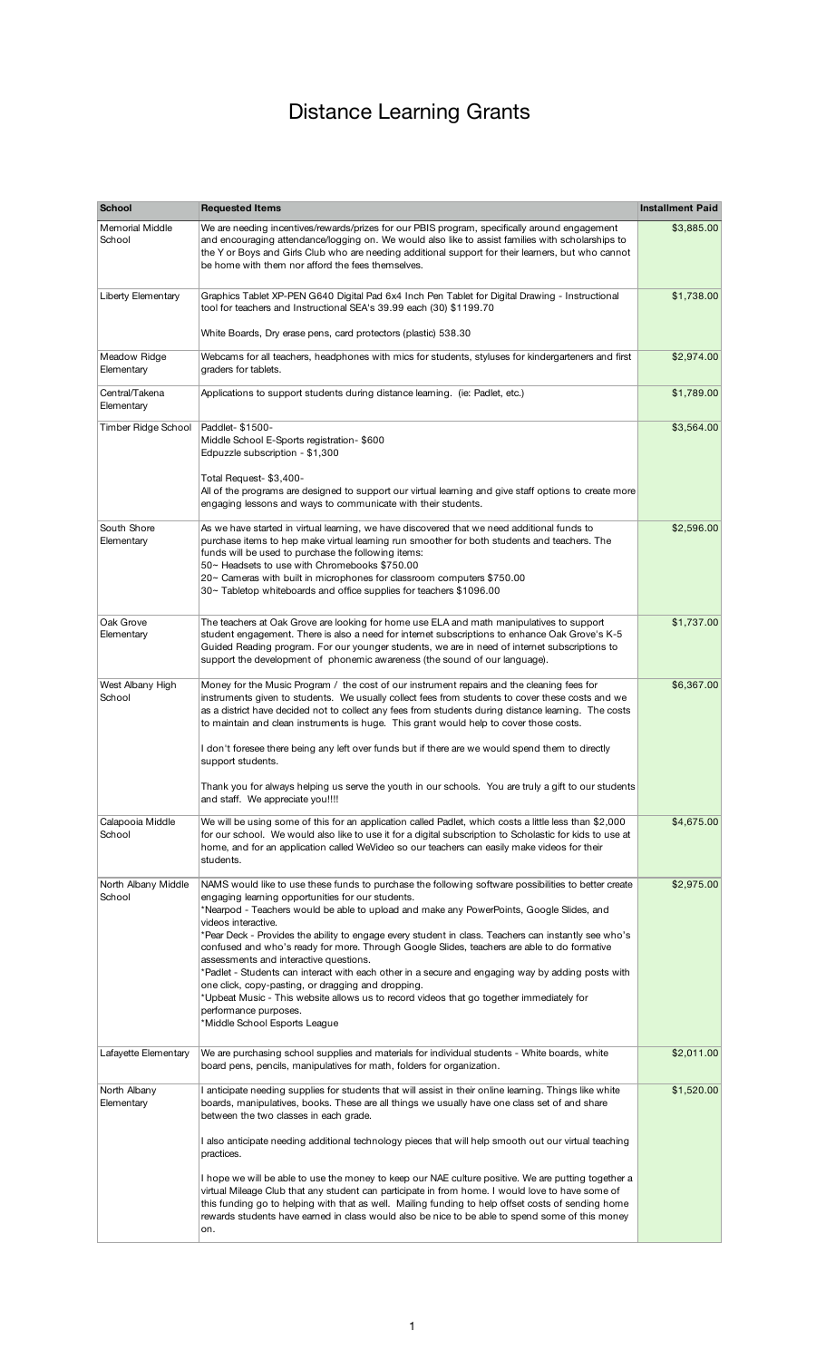## Distance Learning Grants

| <b>School</b>                    | <b>Requested Items</b>                                                                                                                                                                                                                                                                                                                                                                                                                                                                                                                                                                                                                                                                                                                                                                                                                          | <b>Installment Paid</b> |
|----------------------------------|-------------------------------------------------------------------------------------------------------------------------------------------------------------------------------------------------------------------------------------------------------------------------------------------------------------------------------------------------------------------------------------------------------------------------------------------------------------------------------------------------------------------------------------------------------------------------------------------------------------------------------------------------------------------------------------------------------------------------------------------------------------------------------------------------------------------------------------------------|-------------------------|
| <b>Memorial Middle</b><br>School | We are needing incentives/rewards/prizes for our PBIS program, specifically around engagement<br>and encouraging attendance/logging on. We would also like to assist families with scholarships to<br>the Y or Boys and Girls Club who are needing additional support for their learners, but who cannot<br>be home with them nor afford the fees themselves.                                                                                                                                                                                                                                                                                                                                                                                                                                                                                   | \$3,885.00              |
| Liberty Elementary               | Graphics Tablet XP-PEN G640 Digital Pad 6x4 Inch Pen Tablet for Digital Drawing - Instructional<br>tool for teachers and Instructional SEA's 39.99 each (30) \$1199.70                                                                                                                                                                                                                                                                                                                                                                                                                                                                                                                                                                                                                                                                          | \$1,738.00              |
|                                  | White Boards, Dry erase pens, card protectors (plastic) 538.30                                                                                                                                                                                                                                                                                                                                                                                                                                                                                                                                                                                                                                                                                                                                                                                  |                         |
| Meadow Ridge<br>Elementary       | Webcams for all teachers, headphones with mics for students, styluses for kindergarteners and first<br>graders for tablets.                                                                                                                                                                                                                                                                                                                                                                                                                                                                                                                                                                                                                                                                                                                     | \$2,974.00              |
| Central/Takena<br>Elementary     | Applications to support students during distance learning. (ie: Padlet, etc.)                                                                                                                                                                                                                                                                                                                                                                                                                                                                                                                                                                                                                                                                                                                                                                   | \$1,789.00              |
| Timber Ridge School              | Paddlet-\$1500-<br>Middle School E-Sports registration- \$600<br>Edpuzzle subscription - \$1,300<br>Total Request- \$3,400-<br>All of the programs are designed to support our virtual learning and give staff options to create more                                                                                                                                                                                                                                                                                                                                                                                                                                                                                                                                                                                                           | \$3,564.00              |
|                                  | engaging lessons and ways to communicate with their students.                                                                                                                                                                                                                                                                                                                                                                                                                                                                                                                                                                                                                                                                                                                                                                                   |                         |
| South Shore<br>Elementary        | As we have started in virtual learning, we have discovered that we need additional funds to<br>purchase items to hep make virtual learning run smoother for both students and teachers. The<br>funds will be used to purchase the following items:<br>50~ Headsets to use with Chromebooks \$750.00<br>20~ Cameras with built in microphones for classroom computers \$750.00<br>30~ Tabletop whiteboards and office supplies for teachers \$1096.00                                                                                                                                                                                                                                                                                                                                                                                            | \$2,596.00              |
| Oak Grove<br>Elementary          | The teachers at Oak Grove are looking for home use ELA and math manipulatives to support<br>student engagement. There is also a need for internet subscriptions to enhance Oak Grove's K-5<br>Guided Reading program. For our younger students, we are in need of internet subscriptions to<br>support the development of phonemic awareness (the sound of our language).                                                                                                                                                                                                                                                                                                                                                                                                                                                                       | \$1,737.00              |
| West Albany High<br>School       | Money for the Music Program / the cost of our instrument repairs and the cleaning fees for<br>instruments given to students. We usually collect fees from students to cover these costs and we<br>as a district have decided not to collect any fees from students during distance learning. The costs<br>to maintain and clean instruments is huge. This grant would help to cover those costs.<br>I don't foresee there being any left over funds but if there are we would spend them to directly<br>support students.<br>Thank you for always helping us serve the youth in our schools. You are truly a gift to our students<br>and staff. We appreciate you!!!!                                                                                                                                                                           | \$6,367.00              |
| Calapooia Middle<br>School       | We will be using some of this for an application called Padlet, which costs a little less than \$2,000<br>for our school. We would also like to use it for a digital subscription to Scholastic for kids to use at<br>home, and for an application called WeVideo so our teachers can easily make videos for their<br>students.                                                                                                                                                                                                                                                                                                                                                                                                                                                                                                                 | \$4,675.00              |
| North Albany Middle<br>School    | NAMS would like to use these funds to purchase the following software possibilities to better create<br>engaging learning opportunities for our students.<br>*Nearpod - Teachers would be able to upload and make any PowerPoints, Google Slides, and<br>videos interactive.<br>Pear Deck - Provides the ability to engage every student in class. Teachers can instantly see who's *<br>confused and who's ready for more. Through Google Slides, teachers are able to do formative<br>assessments and interactive questions.<br>*Padlet - Students can interact with each other in a secure and engaging way by adding posts with<br>one click, copy-pasting, or dragging and dropping.<br>*Upbeat Music - This website allows us to record videos that go together immediately for<br>performance purposes.<br>*Middle School Esports League | \$2,975.00              |
| Lafayette Elementary             | We are purchasing school supplies and materials for individual students - White boards, white<br>board pens, pencils, manipulatives for math, folders for organization.                                                                                                                                                                                                                                                                                                                                                                                                                                                                                                                                                                                                                                                                         | \$2,011.00              |
| North Albany<br>Elementary       | I anticipate needing supplies for students that will assist in their online learning. Things like white<br>boards, manipulatives, books. These are all things we usually have one class set of and share<br>between the two classes in each grade.                                                                                                                                                                                                                                                                                                                                                                                                                                                                                                                                                                                              | \$1,520.00              |
|                                  | l also anticipate needing additional technology pieces that will help smooth out our virtual teaching<br>practices.                                                                                                                                                                                                                                                                                                                                                                                                                                                                                                                                                                                                                                                                                                                             |                         |
|                                  | I hope we will be able to use the money to keep our NAE culture positive. We are putting together a<br>virtual Mileage Club that any student can participate in from home. I would love to have some of<br>this funding go to helping with that as well. Mailing funding to help offset costs of sending home<br>rewards students have earned in class would also be nice to be able to spend some of this money<br>on.                                                                                                                                                                                                                                                                                                                                                                                                                         |                         |